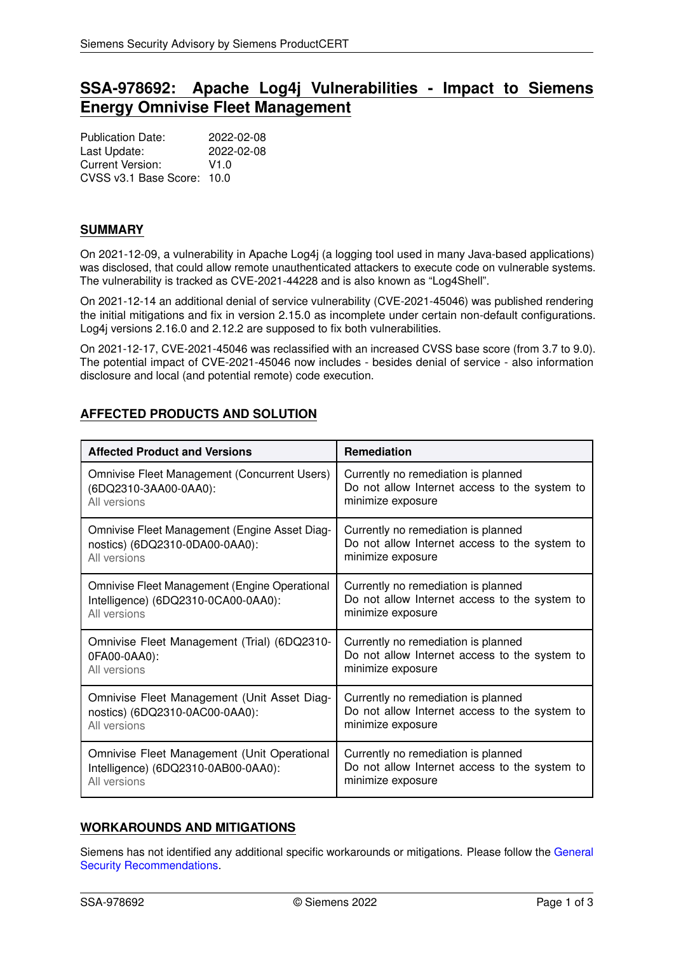# **SSA-978692: Apache Log4j Vulnerabilities - Impact to Siemens Energy Omnivise Fleet Management**

Publication Date: 2022-02-08 Last Update: 2022-02-08 Current Version: V1.0 CVSS v3.1 Base Score: 10.0

#### **SUMMARY**

On 2021-12-09, a vulnerability in Apache Log4j (a logging tool used in many Java-based applications) was disclosed, that could allow remote unauthenticated attackers to execute code on vulnerable systems. The vulnerability is tracked as CVE-2021-44228 and is also known as "Log4Shell".

On 2021-12-14 an additional denial of service vulnerability (CVE-2021-45046) was published rendering the initial mitigations and fix in version 2.15.0 as incomplete under certain non-default configurations. Log4j versions 2.16.0 and 2.12.2 are supposed to fix both vulnerabilities.

On 2021-12-17, CVE-2021-45046 was reclassified with an increased CVSS base score (from 3.7 to 9.0). The potential impact of CVE-2021-45046 now includes - besides denial of service - also information disclosure and local (and potential remote) code execution.

## <span id="page-0-0"></span>**AFFECTED PRODUCTS AND SOLUTION**

| <b>Affected Product and Versions</b>          | <b>Remediation</b>                            |  |
|-----------------------------------------------|-----------------------------------------------|--|
| Omnivise Fleet Management (Concurrent Users)  | Currently no remediation is planned           |  |
| (6DQ2310-3AA00-0AA0):                         | Do not allow Internet access to the system to |  |
| All versions                                  | minimize exposure                             |  |
| Omnivise Fleet Management (Engine Asset Diag- | Currently no remediation is planned           |  |
| nostics) (6DQ2310-0DA00-0AA0):                | Do not allow Internet access to the system to |  |
| All versions                                  | minimize exposure                             |  |
| Omnivise Fleet Management (Engine Operational | Currently no remediation is planned           |  |
| Intelligence) (6DQ2310-0CA00-0AA0):           | Do not allow Internet access to the system to |  |
| All versions                                  | minimize exposure                             |  |
| Omnivise Fleet Management (Trial) (6DQ2310-   | Currently no remediation is planned           |  |
| 0FA00-0AA0):                                  | Do not allow Internet access to the system to |  |
| All versions                                  | minimize exposure                             |  |
| Omnivise Fleet Management (Unit Asset Diag-   | Currently no remediation is planned           |  |
| nostics) (6DQ2310-0AC00-0AA0):                | Do not allow Internet access to the system to |  |
| All versions                                  | minimize exposure                             |  |
| Omnivise Fleet Management (Unit Operational   | Currently no remediation is planned           |  |
| Intelligence) (6DQ2310-0AB00-0AA0):           | Do not allow Internet access to the system to |  |
| All versions                                  | minimize exposure                             |  |

### **WORKAROUNDS AND MITIGATIONS**

Siemens has not identified any additional specific workarounds or mitigations. Please follow the [General](#page-1-0) [Security Recommendations.](#page-1-0)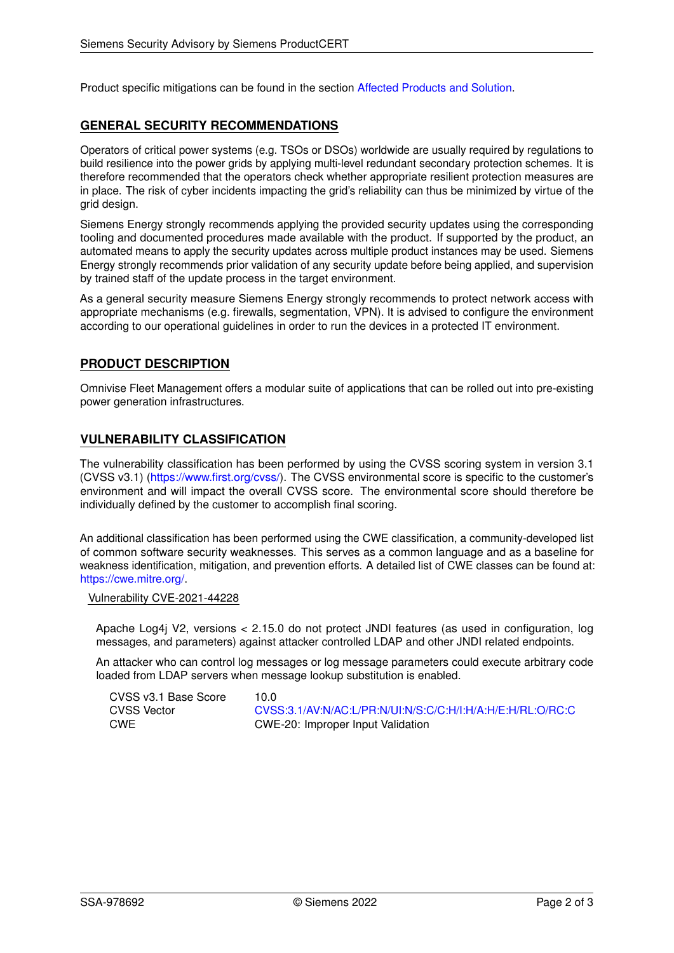<span id="page-1-0"></span>Product specific mitigations can be found in the section [Affected Products and Solution.](#page-0-0)

#### **GENERAL SECURITY RECOMMENDATIONS**

Operators of critical power systems (e.g. TSOs or DSOs) worldwide are usually required by regulations to build resilience into the power grids by applying multi-level redundant secondary protection schemes. It is therefore recommended that the operators check whether appropriate resilient protection measures are in place. The risk of cyber incidents impacting the grid's reliability can thus be minimized by virtue of the grid design.

Siemens Energy strongly recommends applying the provided security updates using the corresponding tooling and documented procedures made available with the product. If supported by the product, an automated means to apply the security updates across multiple product instances may be used. Siemens Energy strongly recommends prior validation of any security update before being applied, and supervision by trained staff of the update process in the target environment.

As a general security measure Siemens Energy strongly recommends to protect network access with appropriate mechanisms (e.g. firewalls, segmentation, VPN). It is advised to configure the environment according to our operational guidelines in order to run the devices in a protected IT environment.

### **PRODUCT DESCRIPTION**

Omnivise Fleet Management offers a modular suite of applications that can be rolled out into pre-existing power generation infrastructures.

#### **VULNERABILITY CLASSIFICATION**

The vulnerability classification has been performed by using the CVSS scoring system in version 3.1 (CVSS v3.1) [\(https://www.first.org/cvss/\)](https://www.first.org/cvss/). The CVSS environmental score is specific to the customer's environment and will impact the overall CVSS score. The environmental score should therefore be individually defined by the customer to accomplish final scoring.

An additional classification has been performed using the CWE classification, a community-developed list of common software security weaknesses. This serves as a common language and as a baseline for weakness identification, mitigation, and prevention efforts. A detailed list of CWE classes can be found at: [https://cwe.mitre.org/.](https://cwe.mitre.org/)

Vulnerability CVE-2021-44228

Apache Log4j V2, versions < 2.15.0 do not protect JNDI features (as used in configuration, log messages, and parameters) against attacker controlled LDAP and other JNDI related endpoints.

An attacker who can control log messages or log message parameters could execute arbitrary code loaded from LDAP servers when message lookup substitution is enabled.

| CVSS v3.1 Base Score | 10.0  |
|----------------------|-------|
| <b>CVSS Vector</b>   | CVSS: |
| CWE                  | CWE-2 |

CVSS Vector [CVSS:3.1/AV:N/AC:L/PR:N/UI:N/S:C/C:H/I:H/A:H/E:H/RL:O/RC:C](https://www.first.org/cvss/calculator/3.1#CVSS:3.1/AV:N/AC:L/PR:N/UI:N/S:C/C:H/I:H/A:H/E:H/RL:O/RC:C) 20: Improper Input Validation